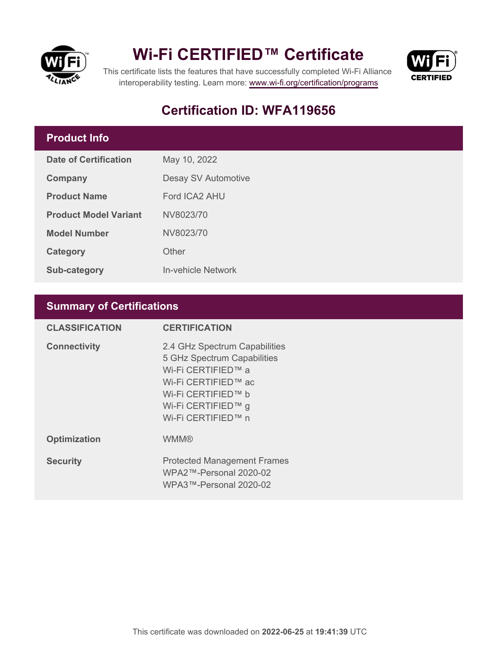

## **Wi-Fi CERTIFIED™ Certificate**



This certificate lists the features that have successfully completed Wi-Fi Alliance interoperability testing. Learn more:<www.wi-fi.org/certification/programs>

## **Certification ID: WFA119656**

### **Product Info**

| Date of Certification        | May 10, 2022        |  |
|------------------------------|---------------------|--|
| Company                      | Desay SV Automotive |  |
| <b>Product Name</b>          | Ford ICA2 AHU       |  |
| <b>Product Model Variant</b> | NV8023/70           |  |
| <b>Model Number</b>          | NV8023/70           |  |
| Category                     | Other               |  |
| <b>Sub-category</b>          | In-vehicle Network  |  |

### **Summary of Certifications**

| <b>CLASSIFICATION</b> | <b>CERTIFICATION</b>                                                                                                                                                        |
|-----------------------|-----------------------------------------------------------------------------------------------------------------------------------------------------------------------------|
| <b>Connectivity</b>   | 2.4 GHz Spectrum Capabilities<br>5 GHz Spectrum Capabilities<br>Wi-Fi CERTIFIED™ a<br>Wi-Fi CERTIFIED™ ac<br>Wi-Fi CERTIFIED™ b<br>Wi-Fi CERTIFIED™ g<br>Wi-Fi CERTIFIED™ n |
| <b>Optimization</b>   | <b>WMM®</b>                                                                                                                                                                 |
| <b>Security</b>       | <b>Protected Management Frames</b><br>$WPA2$ ™-Personal 2020-02<br>WPA3™-Personal 2020-02                                                                                   |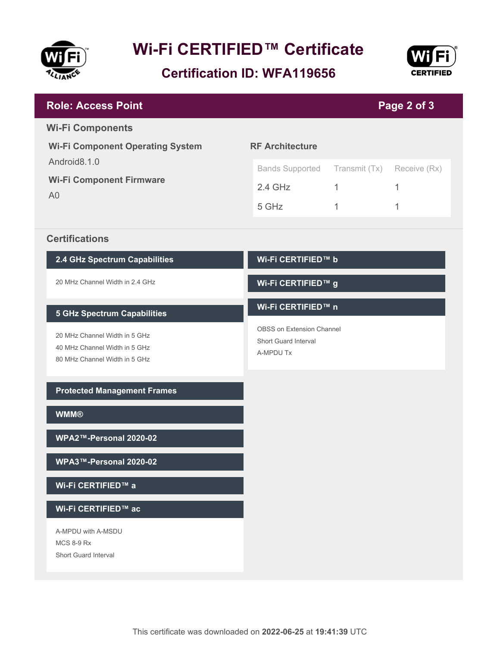

# **Wi-Fi CERTIFIED™ Certificate**

**Certification ID: WFA119656**



| <b>Role: Access Point</b><br>Page 2 of 3                          |                                                   |               |              |  |
|-------------------------------------------------------------------|---------------------------------------------------|---------------|--------------|--|
| <b>Wi-Fi Components</b>                                           |                                                   |               |              |  |
| <b>Wi-Fi Component Operating System</b>                           | <b>RF Architecture</b>                            |               |              |  |
| Android8.1.0<br><b>Wi-Fi Component Firmware</b><br>A <sub>0</sub> | <b>Bands Supported</b>                            | Transmit (Tx) | Receive (Rx) |  |
|                                                                   | $2.4$ GHz                                         | $\mathbf{1}$  | 1            |  |
|                                                                   | 5 GHz                                             | 1             | 1            |  |
| <b>Certifications</b>                                             |                                                   |               |              |  |
| 2.4 GHz Spectrum Capabilities                                     | Wi-Fi CERTIFIED™ b                                |               |              |  |
| 20 MHz Channel Width in 2.4 GHz                                   | Wi-Fi CERTIFIED™ g                                |               |              |  |
| <b>5 GHz Spectrum Capabilities</b>                                | Wi-Fi CERTIFIED™ n                                |               |              |  |
| 20 MHz Channel Width in 5 GHz                                     | OBSS on Extension Channel<br>Short Guard Interval |               |              |  |
| 40 MHz Channel Width in 5 GHz<br>80 MHz Channel Width in 5 GHz    | A-MPDU Tx                                         |               |              |  |
|                                                                   |                                                   |               |              |  |
| <b>Protected Management Frames</b>                                |                                                   |               |              |  |
| <b>WMM®</b>                                                       |                                                   |               |              |  |
| WPA2™-Personal 2020-02                                            |                                                   |               |              |  |
| WPA3™-Personal 2020-02                                            |                                                   |               |              |  |
| Wi-Fi CERTIFIED™ a                                                |                                                   |               |              |  |
| Wi-Fi CERTIFIED™ ac                                               |                                                   |               |              |  |
| A-MPDU with A-MSDU                                                |                                                   |               |              |  |
| <b>MCS 8-9 Rx</b><br>Short Guard Interval                         |                                                   |               |              |  |
|                                                                   |                                                   |               |              |  |